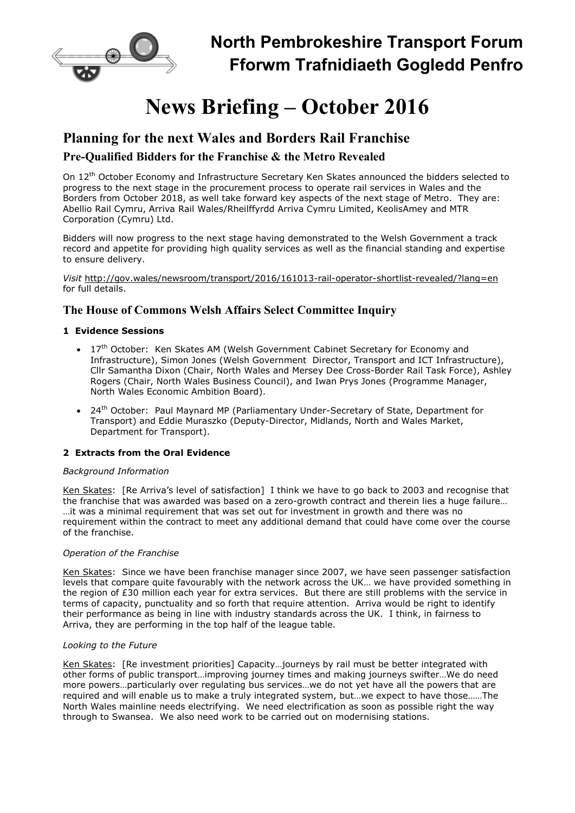

# News Briefing – October 2016

# Planning for the next Wales and Borders Rail Franchise

# Pre-Qualified Bidders for the Franchise & the Metro Revealed

On 12<sup>th</sup> October Economy and Infrastructure Secretary Ken Skates announced the bidders selected to progress to the next stage in the procurement process to operate rail services in Wales and the Borders from October 2018, as well take forward key aspects of the next stage of Metro. They are: Abellio Rail Cymru, Arriva Rail Wales/Rheilffyrdd Arriva Cymru Limited, KeolisAmey and MTR Corporation (Cymru) Ltd.

Bidders will now progress to the next stage having demonstrated to the Welsh Government a track record and appetite for providing high quality services as well as the financial standing and expertise to ensure delivery.

Visit http://gov.wales/newsroom/transport/2016/161013-rail-operator-shortlist-revealed/?lang=en for full details.

## The House of Commons Welsh Affairs Select Committee Inquiry

## 1 Evidence Sessions

- 17<sup>th</sup> October: Ken Skates AM (Welsh Government Cabinet Secretary for Economy and Infrastructure), Simon Jones (Welsh Government Director, Transport and ICT Infrastructure), Cllr Samantha Dixon (Chair, North Wales and Mersey Dee Cross-Border Rail Task Force), Ashley Rogers (Chair, North Wales Business Council), and Iwan Prys Jones (Programme Manager, North Wales Economic Ambition Board).
- 24<sup>th</sup> October: Paul Maynard MP (Parliamentary Under-Secretary of State, Department for Transport) and Eddie Muraszko (Deputy-Director, Midlands, North and Wales Market, Department for Transport).

## 2 Extracts from the Oral Evidence

## Background Information

Ken Skates: [Re Arriva's level of satisfaction] I think we have to go back to 2003 and recognise that the franchise that was awarded was based on a zero-growth contract and therein lies a huge failure… …it was a minimal requirement that was set out for investment in growth and there was no requirement within the contract to meet any additional demand that could have come over the course of the franchise.

## Operation of the Franchise

Ken Skates: Since we have been franchise manager since 2007, we have seen passenger satisfaction levels that compare quite favourably with the network across the UK… we have provided something in the region of £30 million each year for extra services. But there are still problems with the service in terms of capacity, punctuality and so forth that require attention. Arriva would be right to identify their performance as being in line with industry standards across the UK. I think, in fairness to Arriva, they are performing in the top half of the league table.

## Looking to the Future

Ken Skates: [Re investment priorities] Capacity…journeys by rail must be better integrated with other forms of public transport…improving journey times and making journeys swifter…We do need more powers…particularly over regulating bus services…we do not yet have all the powers that are required and will enable us to make a truly integrated system, but…we expect to have those……The North Wales mainline needs electrifying. We need electrification as soon as possible right the way through to Swansea. We also need work to be carried out on modernising stations.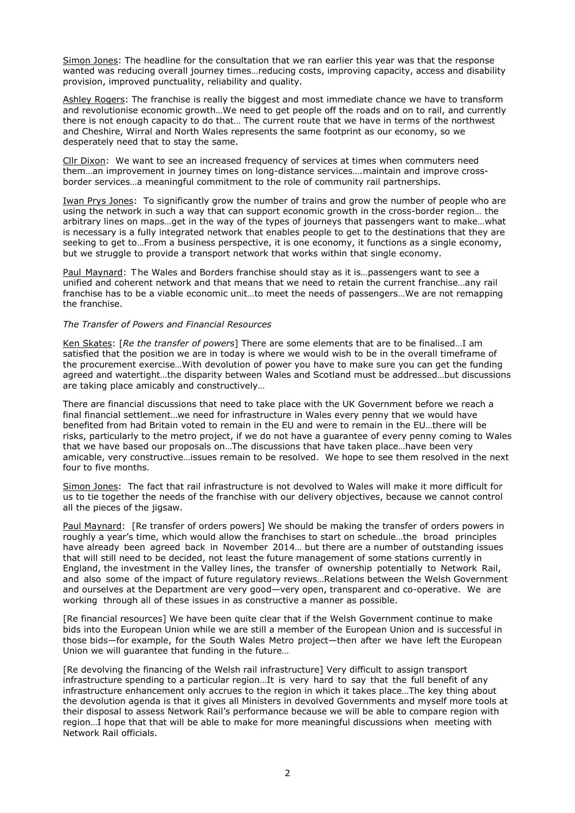Simon Jones: The headline for the consultation that we ran earlier this year was that the response wanted was reducing overall journey times…reducing costs, improving capacity, access and disability provision, improved punctuality, reliability and quality.

Ashley Rogers: The franchise is really the biggest and most immediate chance we have to transform and revolutionise economic growth…We need to get people off the roads and on to rail, and currently there is not enough capacity to do that… The current route that we have in terms of the northwest and Cheshire, Wirral and North Wales represents the same footprint as our economy, so we desperately need that to stay the same.

Cllr Dixon: We want to see an increased frequency of services at times when commuters need them…an improvement in journey times on long-distance services….maintain and improve crossborder services…a meaningful commitment to the role of community rail partnerships.

Iwan Prys Jones: To significantly grow the number of trains and grow the number of people who are using the network in such a way that can support economic growth in the cross-border region… the arbitrary lines on maps…get in the way of the types of journeys that passengers want to make…what is necessary is a fully integrated network that enables people to get to the destinations that they are seeking to get to…From a business perspective, it is one economy, it functions as a single economy, but we struggle to provide a transport network that works within that single economy.

Paul Maynard: T he Wales and Borders franchise should stay as it is…passengers want to see a unified and coherent network and that means that we need to retain the current franchise…any rail franchise has to be a viable economic unit…to meet the needs of passengers…We are not remapping the franchise.

#### The Transfer of Powers and Financial Resources

Ken Skates: [Re the transfer of powers] There are some elements that are to be finalised... I am satisfied that the position we are in today is where we would wish to be in the overall timeframe of the procurement exercise…With devolution of power you have to make sure you can get the funding agreed and watertight…the disparity between Wales and Scotland must be addressed…but discussions are taking place amicably and constructively…

There are financial discussions that need to take place with the UK Government before we reach a final financial settlement…we need for infrastructure in Wales every penny that we would have benefited from had Britain voted to remain in the EU and were to remain in the EU…there will be risks, particularly to the metro project, if we do not have a guarantee of every penny coming to Wales that we have based our proposals on…The discussions that have taken place…have been very amicable, very constructive…issues remain to be resolved. We hope to see them resolved in the next four to five months.

Simon Jones: The fact that rail infrastructure is not devolved to Wales will make it more difficult for us to tie together the needs of the franchise with our delivery objectives, because we cannot control all the pieces of the jigsaw.

Paul Maynard: [Re transfer of orders powers] We should be making the transfer of orders powers in roughly a year's time, which would allow the franchises to start on schedule…the broad principles have already been agreed back in November 2014… but there are a number of outstanding issues that will still need to be decided, not least the future management of some stations currently in England, the investment in the Valley lines, the transfer of ownership potentially to Network Rail, and also some of the impact of future regulatory reviews…Relations between the Welsh Government and ourselves at the Department are very good—very open, transparent and co-operative. We are working through all of these issues in as constructive a manner as possible.

[Re financial resources] We have been quite clear that if the Welsh Government continue to make bids into the European Union while we are still a member of the European Union and is successful in those bids—for example, for the South Wales Metro project—then after we have left the European Union we will guarantee that funding in the future…

[Re devolving the financing of the Welsh rail infrastructure] Very difficult to assign transport infrastructure spending to a particular region…It is very hard to say that the full benefit of any infrastructure enhancement only accrues to the region in which it takes place…The key thing about the devolution agenda is that it gives all Ministers in devolved Governments and myself more tools at their disposal to assess Network Rail's performance because we will be able to compare region with region…I hope that that will be able to make for more meaningful discussions when meeting with Network Rail officials.